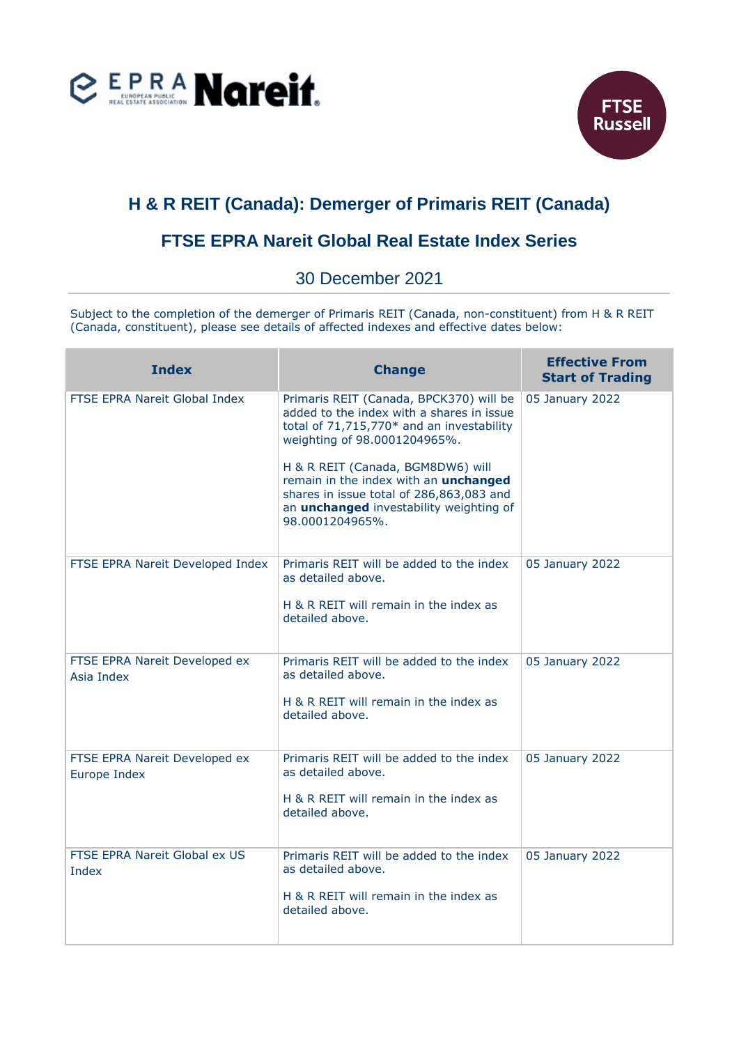



## **H & R REIT (Canada): Demerger of Primaris REIT (Canada)**

## **FTSE EPRA Nareit Global Real Estate Index Series**

30 December 2021

Subject to the completion of the demerger of Primaris REIT (Canada, non-constituent) from H & R REIT (Canada, constituent), please see details of affected indexes and effective dates below:

| <b>Index</b>                                  | <b>Change</b>                                                                                                                                                                                                                                                                                                                                                           | <b>Effective From</b><br><b>Start of Trading</b> |
|-----------------------------------------------|-------------------------------------------------------------------------------------------------------------------------------------------------------------------------------------------------------------------------------------------------------------------------------------------------------------------------------------------------------------------------|--------------------------------------------------|
| FTSE EPRA Nareit Global Index                 | Primaris REIT (Canada, BPCK370) will be<br>added to the index with a shares in issue<br>total of 71,715,770* and an investability<br>weighting of 98.0001204965%.<br>H & R REIT (Canada, BGM8DW6) will<br>remain in the index with an <i>unchanged</i><br>shares in issue total of 286,863,083 and<br>an <i>unchanged</i> investability weighting of<br>98.0001204965%. | 05 January 2022                                  |
| FTSE EPRA Nareit Developed Index              | Primaris REIT will be added to the index<br>as detailed above.<br>H & R REIT will remain in the index as<br>detailed above.                                                                                                                                                                                                                                             | 05 January 2022                                  |
| FTSE EPRA Nareit Developed ex<br>Asia Index   | Primaris REIT will be added to the index<br>as detailed above.<br>H & R REIT will remain in the index as<br>detailed above.                                                                                                                                                                                                                                             | 05 January 2022                                  |
| FTSE EPRA Nareit Developed ex<br>Europe Index | Primaris REIT will be added to the index<br>as detailed above.<br>H & R REIT will remain in the index as<br>detailed above.                                                                                                                                                                                                                                             | 05 January 2022                                  |
| FTSE EPRA Nareit Global ex US<br>Index        | Primaris REIT will be added to the index<br>as detailed above.<br>H & R REIT will remain in the index as<br>detailed above.                                                                                                                                                                                                                                             | 05 January 2022                                  |